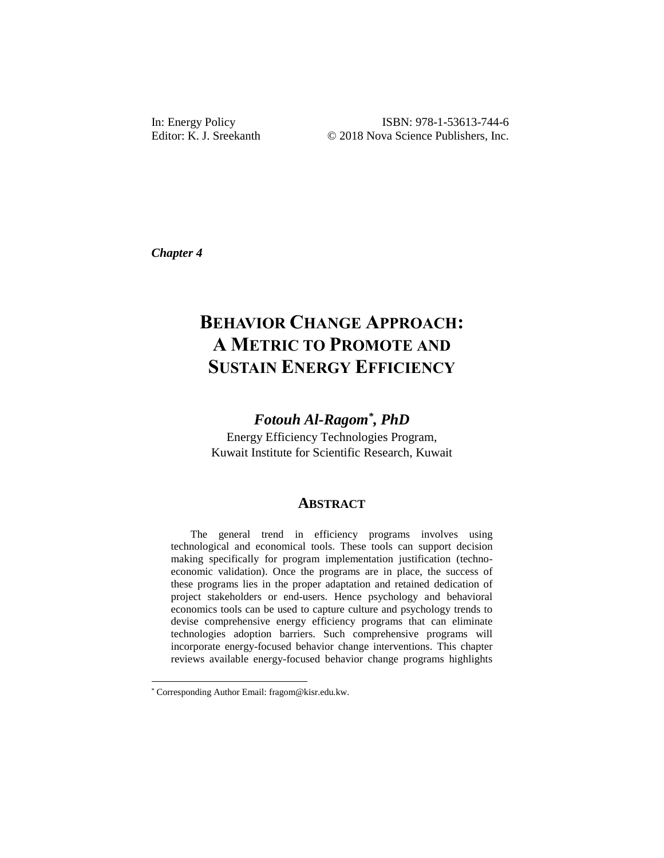In: Energy Policy ISBN: 978-1-53613-744-6 Editor: K. J. Sreekanth  $\degree$  2018 Nova Science Publishers, Inc.

*Chapter 4*

# **BEHAVIOR CHANGE APPROACH: A METRIC TO PROMOTE AND SUSTAIN ENERGY EFFICIENCY**

# *Fotouh Al-Ragom\* , PhD*

Energy Efficiency Technologies Program, Kuwait Institute for Scientific Research, Kuwait

### **ABSTRACT**

The general trend in efficiency programs involves using technological and economical tools. These tools can support decision making specifically for program implementation justification (technoeconomic validation). Once the programs are in place, the success of these programs lies in the proper adaptation and retained dedication of project stakeholders or end-users. Hence psychology and behavioral economics tools can be used to capture culture and psychology trends to devise comprehensive energy efficiency programs that can eliminate technologies adoption barriers. Such comprehensive programs will incorporate energy-focused behavior change interventions. This chapter reviews available energy-focused behavior change programs highlights

l

<sup>\*</sup> Corresponding Author Email: fragom@kisr.edu.kw.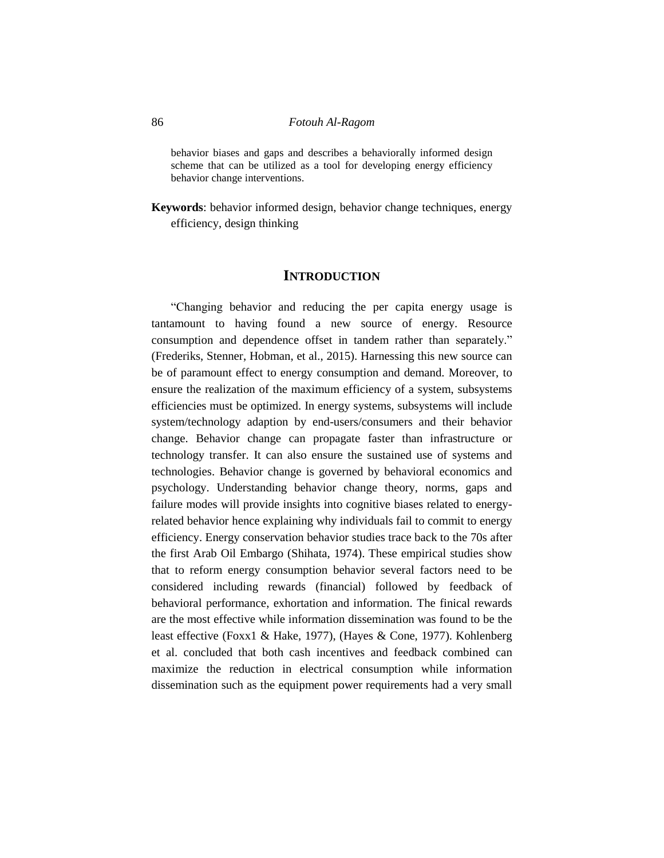behavior biases and gaps and describes a behaviorally informed design scheme that can be utilized as a tool for developing energy efficiency behavior change interventions.

**Keywords**: behavior informed design, behavior change techniques, energy efficiency, design thinking

#### **INTRODUCTION**

"Changing behavior and reducing the per capita energy usage is tantamount to having found a new source of energy. Resource consumption and dependence offset in tandem rather than separately." (Frederiks, Stenner, Hobman, et al., 2015). Harnessing this new source can be of paramount effect to energy consumption and demand. Moreover, to ensure the realization of the maximum efficiency of a system, subsystems efficiencies must be optimized. In energy systems, subsystems will include system/technology adaption by end-users/consumers and their behavior change. Behavior change can propagate faster than infrastructure or technology transfer. It can also ensure the sustained use of systems and technologies. Behavior change is governed by behavioral economics and psychology. Understanding behavior change theory, norms, gaps and failure modes will provide insights into cognitive biases related to energyrelated behavior hence explaining why individuals fail to commit to energy efficiency. Energy conservation behavior studies trace back to the 70s after the first Arab Oil Embargo (Shihata, 1974). These empirical studies show that to reform energy consumption behavior several factors need to be considered including rewards (financial) followed by feedback of behavioral performance, exhortation and information. The finical rewards are the most effective while information dissemination was found to be the least effective (Foxx1 & Hake, 1977), (Hayes & Cone, 1977). Kohlenberg et al. concluded that both cash incentives and feedback combined can maximize the reduction in electrical consumption while information dissemination such as the equipment power requirements had a very small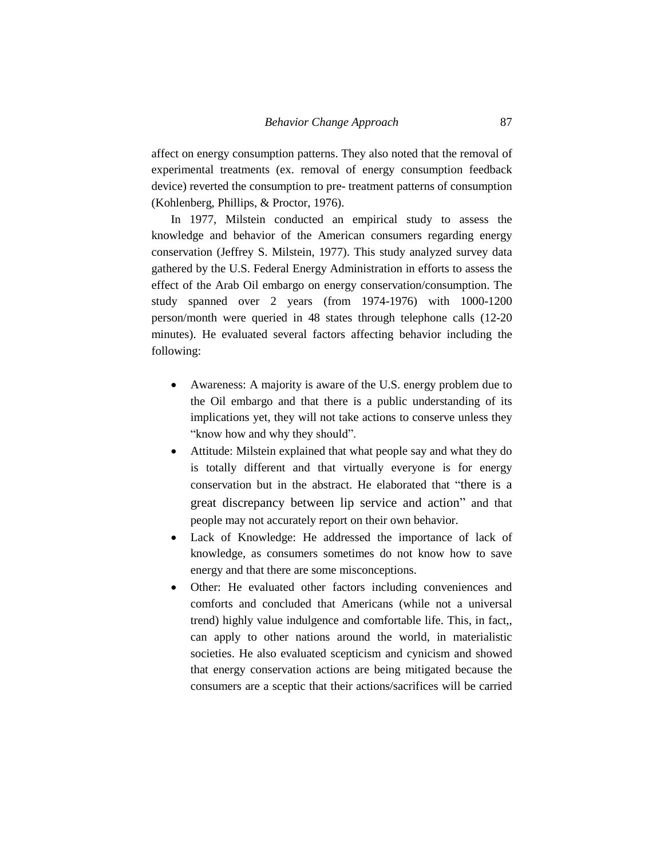affect on energy consumption patterns. They also noted that the removal of experimental treatments (ex. removal of energy consumption feedback device) reverted the consumption to pre- treatment patterns of consumption (Kohlenberg, Phillips, & Proctor, 1976).

In 1977, Milstein conducted an empirical study to assess the knowledge and behavior of the American consumers regarding energy conservation (Jeffrey S. Milstein, 1977). This study analyzed survey data gathered by the U.S. Federal Energy Administration in efforts to assess the effect of the Arab Oil embargo on energy conservation/consumption. The study spanned over 2 years (from 1974-1976) with 1000-1200 person/month were queried in 48 states through telephone calls (12-20 minutes). He evaluated several factors affecting behavior including the following:

- Awareness: A majority is aware of the U.S. energy problem due to the Oil embargo and that there is a public understanding of its implications yet, they will not take actions to conserve unless they "know how and why they should".
- Attitude: Milstein explained that what people say and what they do is totally different and that virtually everyone is for energy conservation but in the abstract. He elaborated that "there is a great discrepancy between lip service and action" and that people may not accurately report on their own behavior.
- Lack of Knowledge: He addressed the importance of lack of knowledge, as consumers sometimes do not know how to save energy and that there are some misconceptions.
- Other: He evaluated other factors including conveniences and comforts and concluded that Americans (while not a universal trend) highly value indulgence and comfortable life. This, in fact,, can apply to other nations around the world, in materialistic societies. He also evaluated scepticism and cynicism and showed that energy conservation actions are being mitigated because the consumers are a sceptic that their actions/sacrifices will be carried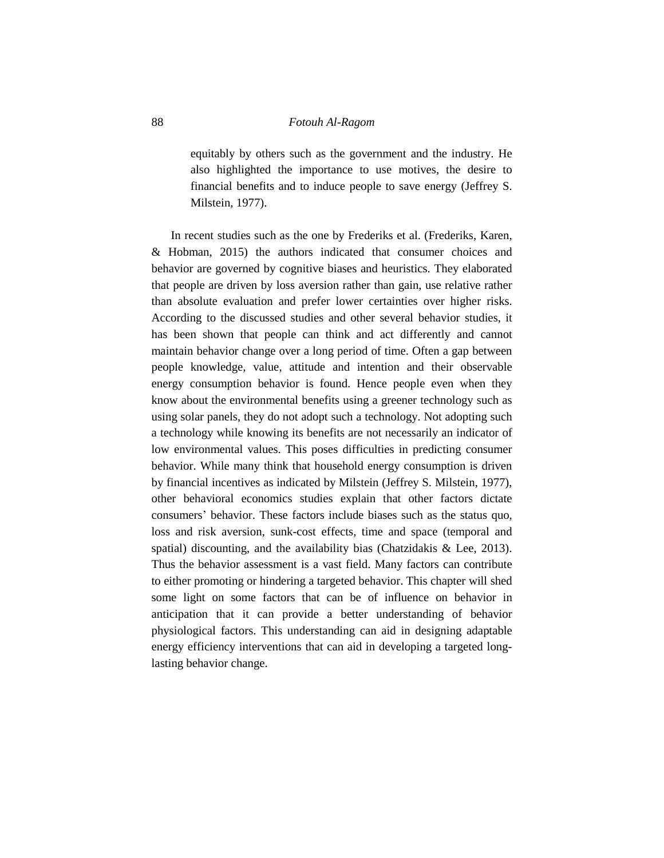equitably by others such as the government and the industry. He also highlighted the importance to use motives, the desire to financial benefits and to induce people to save energy (Jeffrey S. Milstein, 1977).

In recent studies such as the one by Frederiks et al. (Frederiks, Karen, & Hobman, 2015) the authors indicated that consumer choices and behavior are governed by cognitive biases and heuristics. They elaborated that people are driven by loss aversion rather than gain, use relative rather than absolute evaluation and prefer lower certainties over higher risks. According to the discussed studies and other several behavior studies, it has been shown that people can think and act differently and cannot maintain behavior change over a long period of time. Often a gap between people knowledge, value, attitude and intention and their observable energy consumption behavior is found. Hence people even when they know about the environmental benefits using a greener technology such as using solar panels, they do not adopt such a technology. Not adopting such a technology while knowing its benefits are not necessarily an indicator of low environmental values. This poses difficulties in predicting consumer behavior. While many think that household energy consumption is driven by financial incentives as indicated by Milstein (Jeffrey S. Milstein, 1977), other behavioral economics studies explain that other factors dictate consumers' behavior. These factors include biases such as the status quo, loss and risk aversion, sunk-cost effects, time and space (temporal and spatial) discounting, and the availability bias (Chatzidakis & Lee, 2013). Thus the behavior assessment is a vast field. Many factors can contribute to either promoting or hindering a targeted behavior. This chapter will shed some light on some factors that can be of influence on behavior in anticipation that it can provide a better understanding of behavior physiological factors. This understanding can aid in designing adaptable energy efficiency interventions that can aid in developing a targeted longlasting behavior change.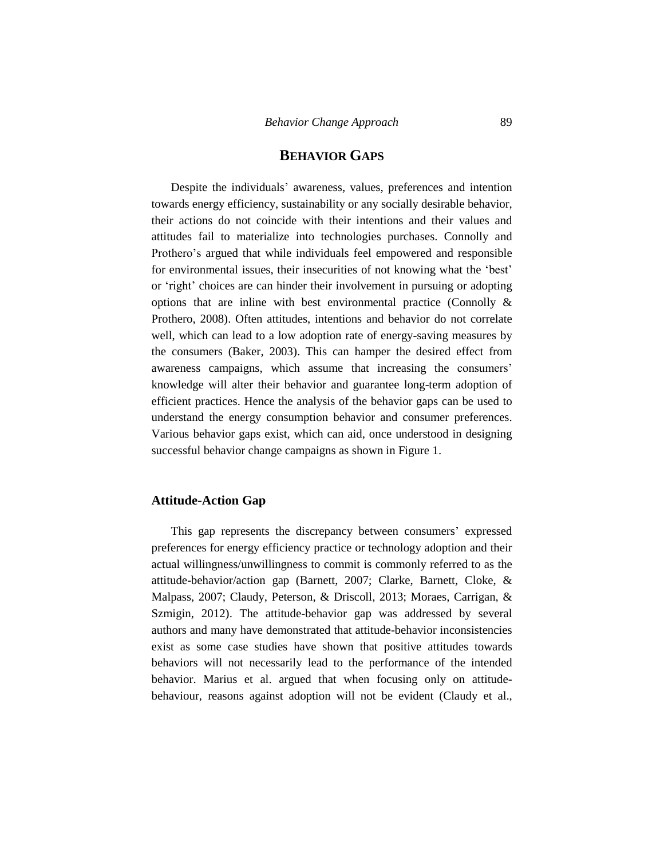# **BEHAVIOR GAPS**

Despite the individuals' awareness, values, preferences and intention towards energy efficiency, sustainability or any socially desirable behavior, their actions do not coincide with their intentions and their values and attitudes fail to materialize into technologies purchases. Connolly and Prothero's argued that while individuals feel empowered and responsible for environmental issues, their insecurities of not knowing what the 'best' or 'right' choices are can hinder their involvement in pursuing or adopting options that are inline with best environmental practice (Connolly & Prothero, 2008). Often attitudes, intentions and behavior do not correlate well, which can lead to a low adoption rate of energy-saving measures by the consumers (Baker, 2003). This can hamper the desired effect from awareness campaigns, which assume that increasing the consumers' knowledge will alter their behavior and guarantee long-term adoption of efficient practices. Hence the analysis of the behavior gaps can be used to understand the energy consumption behavior and consumer preferences. Various behavior gaps exist, which can aid, once understood in designing successful behavior change campaigns as shown in Figure 1.

#### **Attitude-Action Gap**

This gap represents the discrepancy between consumers' expressed preferences for energy efficiency practice or technology adoption and their actual willingness/unwillingness to commit is commonly referred to as the attitude-behavior/action gap (Barnett, 2007; Clarke, Barnett, Cloke, & Malpass, 2007; Claudy, Peterson, & Driscoll, 2013; Moraes, Carrigan, & Szmigin, 2012). The attitude-behavior gap was addressed by several authors and many have demonstrated that attitude-behavior inconsistencies exist as some case studies have shown that positive attitudes towards behaviors will not necessarily lead to the performance of the intended behavior. Marius et al. argued that when focusing only on attitudebehaviour, reasons against adoption will not be evident (Claudy et al.,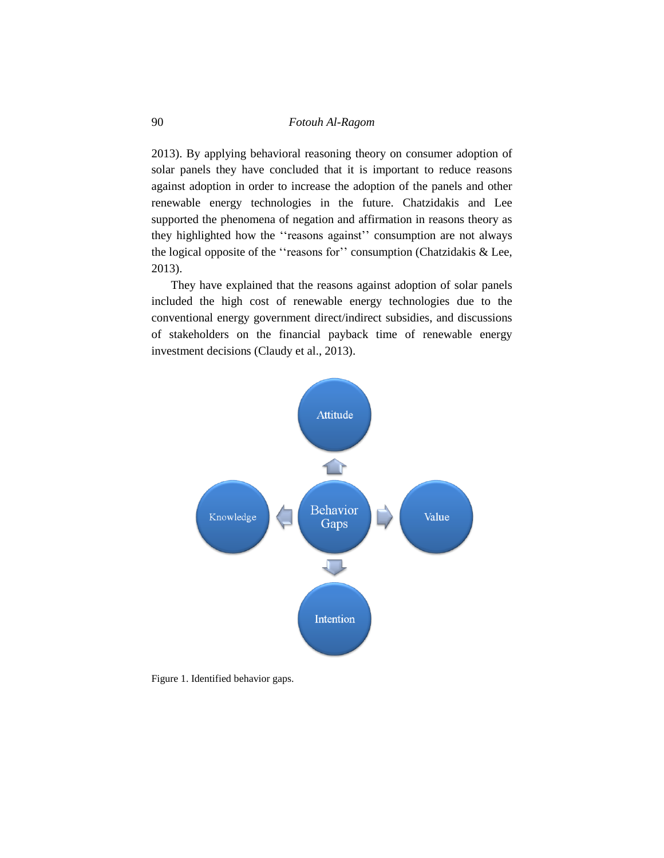2013). By applying behavioral reasoning theory on consumer adoption of solar panels they have concluded that it is important to reduce reasons against adoption in order to increase the adoption of the panels and other renewable energy technologies in the future. Chatzidakis and Lee supported the phenomena of negation and affirmation in reasons theory as they highlighted how the ''reasons against'' consumption are not always the logical opposite of the ''reasons for'' consumption (Chatzidakis & Lee, 2013).

They have explained that the reasons against adoption of solar panels included the high cost of renewable energy technologies due to the conventional energy government direct/indirect subsidies, and discussions of stakeholders on the financial payback time of renewable energy investment decisions (Claudy et al., 2013).



Figure 1. Identified behavior gaps.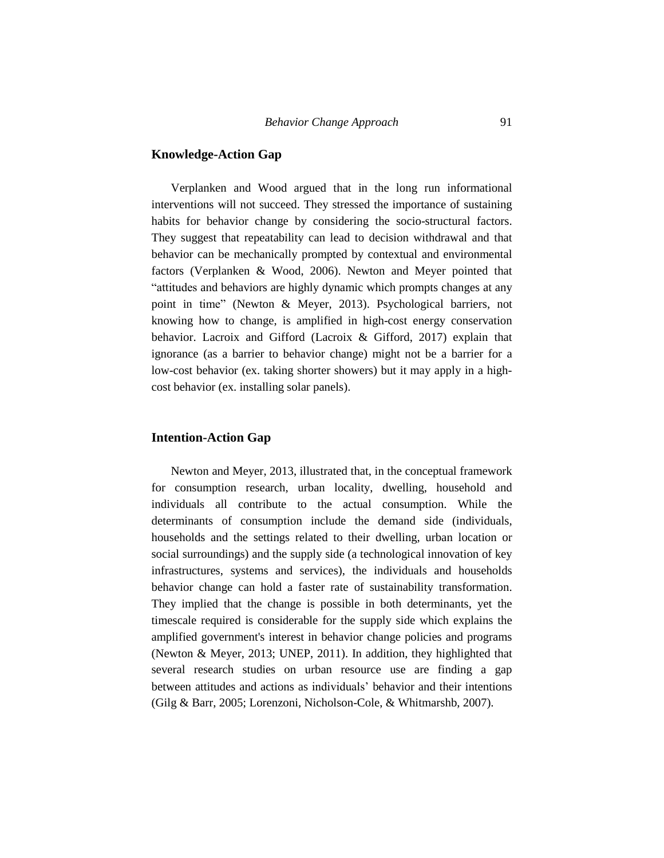# **Knowledge-Action Gap**

Verplanken and Wood argued that in the long run informational interventions will not succeed. They stressed the importance of sustaining habits for behavior change by considering the socio-structural factors. They suggest that repeatability can lead to decision withdrawal and that behavior can be mechanically prompted by contextual and environmental factors (Verplanken & Wood, 2006). Newton and Meyer pointed that "attitudes and behaviors are highly dynamic which prompts changes at any point in time" (Newton & Meyer, 2013). Psychological barriers, not knowing how to change, is amplified in high-cost energy conservation behavior. Lacroix and Gifford (Lacroix & Gifford, 2017) explain that ignorance (as a barrier to behavior change) might not be a barrier for a low-cost behavior (ex. taking shorter showers) but it may apply in a highcost behavior (ex. installing solar panels).

#### **Intention-Action Gap**

Newton and Meyer, 2013, illustrated that, in the conceptual framework for consumption research, urban locality, dwelling, household and individuals all contribute to the actual consumption. While the determinants of consumption include the demand side (individuals, households and the settings related to their dwelling, urban location or social surroundings) and the supply side (a technological innovation of key infrastructures, systems and services), the individuals and households behavior change can hold a faster rate of sustainability transformation. They implied that the change is possible in both determinants, yet the timescale required is considerable for the supply side which explains the amplified government's interest in behavior change policies and programs (Newton & Meyer, 2013; UNEP, 2011). In addition, they highlighted that several research studies on urban resource use are finding a gap between attitudes and actions as individuals' behavior and their intentions (Gilg & Barr, 2005; Lorenzoni, Nicholson-Cole, & Whitmarshb, 2007).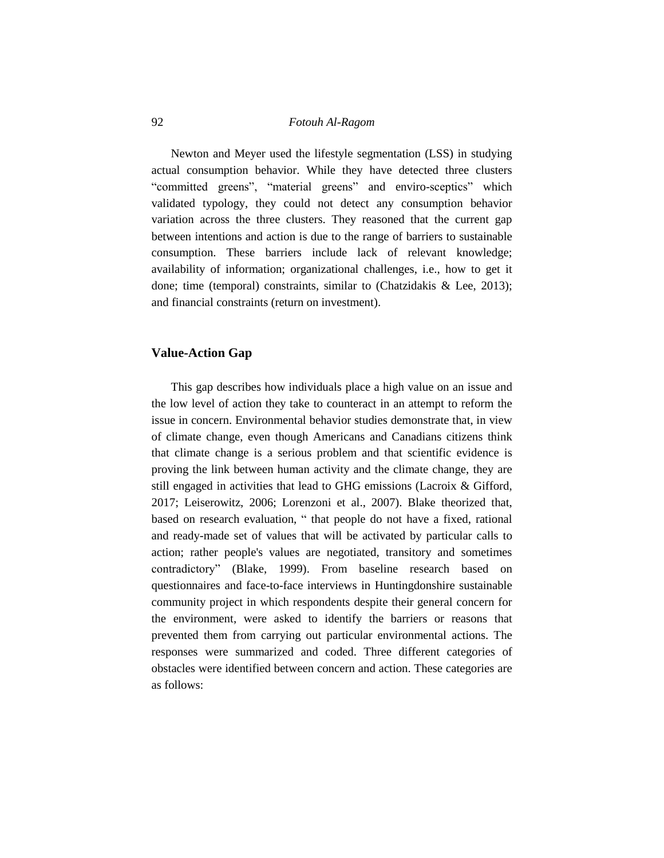Newton and Meyer used the lifestyle segmentation (LSS) in studying actual consumption behavior. While they have detected three clusters "committed greens", "material greens" and enviro-sceptics" which validated typology, they could not detect any consumption behavior variation across the three clusters. They reasoned that the current gap between intentions and action is due to the range of barriers to sustainable consumption. These barriers include lack of relevant knowledge; availability of information; organizational challenges, i.e., how to get it done; time (temporal) constraints, similar to (Chatzidakis & Lee, 2013); and financial constraints (return on investment).

#### **Value-Action Gap**

This gap describes how individuals place a high value on an issue and the low level of action they take to counteract in an attempt to reform the issue in concern. Environmental behavior studies demonstrate that, in view of climate change, even though Americans and Canadians citizens think that climate change is a serious problem and that scientific evidence is proving the link between human activity and the climate change, they are still engaged in activities that lead to GHG emissions (Lacroix & Gifford, 2017; Leiserowitz, 2006; Lorenzoni et al., 2007). Blake theorized that, based on research evaluation, " that people do not have a fixed, rational and ready-made set of values that will be activated by particular calls to action; rather people's values are negotiated, transitory and sometimes contradictory" (Blake, 1999). From baseline research based on questionnaires and face-to-face interviews in Huntingdonshire sustainable community project in which respondents despite their general concern for the environment, were asked to identify the barriers or reasons that prevented them from carrying out particular environmental actions. The responses were summarized and coded. Three different categories of obstacles were identified between concern and action. These categories are as follows: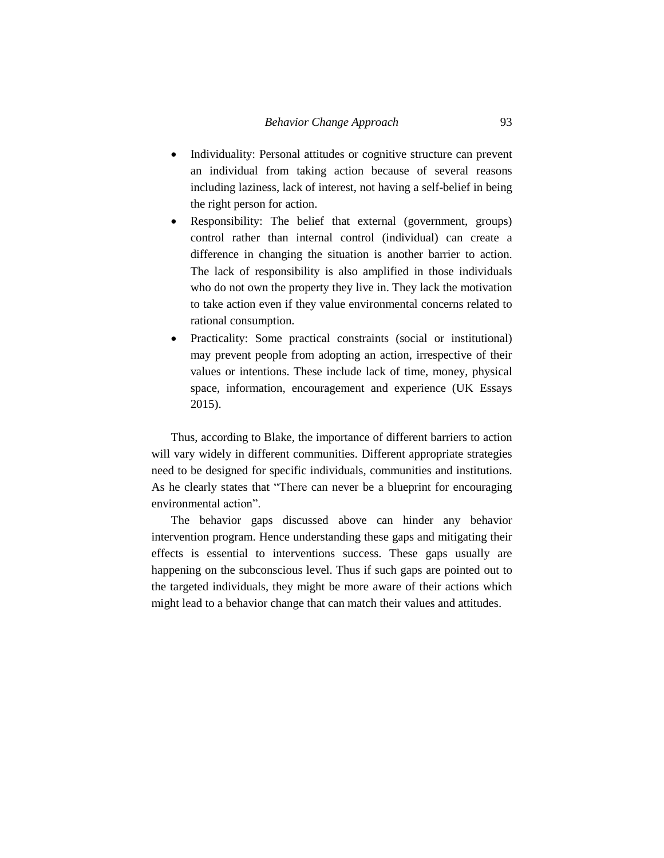- Individuality: Personal attitudes or cognitive structure can prevent an individual from taking action because of several reasons including laziness, lack of interest, not having a self-belief in being the right person for action.
- Responsibility: The belief that external (government, groups) control rather than internal control (individual) can create a difference in changing the situation is another barrier to action. The lack of responsibility is also amplified in those individuals who do not own the property they live in. They lack the motivation to take action even if they value environmental concerns related to rational consumption.
- Practicality: Some practical constraints (social or institutional) may prevent people from adopting an action, irrespective of their values or intentions. These include lack of time, money, physical space, information, encouragement and experience (UK Essays 2015).

Thus, according to Blake, the importance of different barriers to action will vary widely in different communities. Different appropriate strategies need to be designed for specific individuals, communities and institutions. As he clearly states that "There can never be a blueprint for encouraging environmental action".

The behavior gaps discussed above can hinder any behavior intervention program. Hence understanding these gaps and mitigating their effects is essential to interventions success. These gaps usually are happening on the subconscious level. Thus if such gaps are pointed out to the targeted individuals, they might be more aware of their actions which might lead to a behavior change that can match their values and attitudes.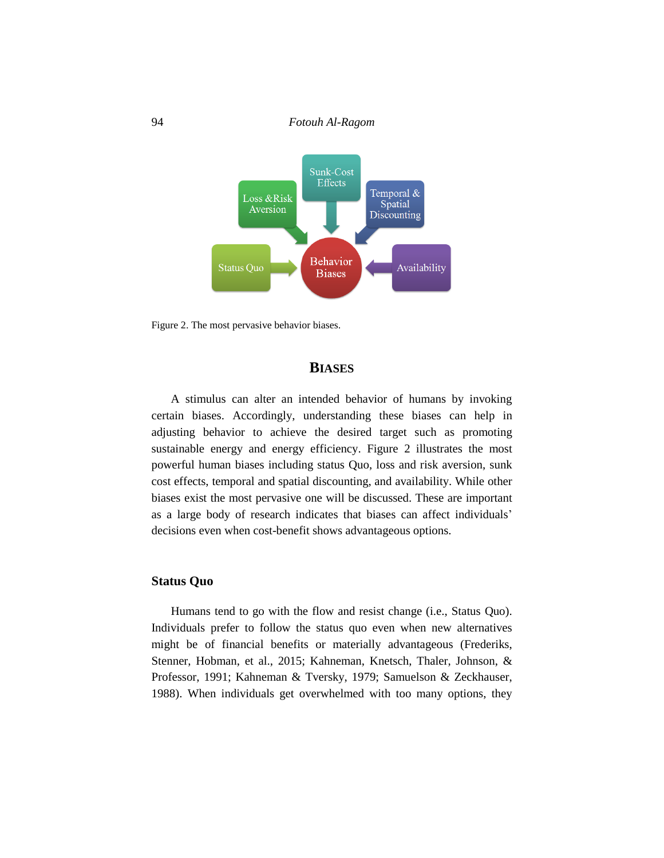

Figure 2. The most pervasive behavior biases.

# **BIASES**

A stimulus can alter an intended behavior of humans by invoking certain biases. Accordingly, understanding these biases can help in adjusting behavior to achieve the desired target such as promoting sustainable energy and energy efficiency. Figure 2 illustrates the most powerful human biases including status Quo, loss and risk aversion, sunk cost effects, temporal and spatial discounting, and availability. While other biases exist the most pervasive one will be discussed. These are important as a large body of research indicates that biases can affect individuals' decisions even when cost-benefit shows advantageous options.

# **Status Quo**

Humans tend to go with the flow and resist change (i.e., Status Quo). Individuals prefer to follow the status quo even when new alternatives might be of financial benefits or materially advantageous (Frederiks, Stenner, Hobman, et al., 2015; Kahneman, Knetsch, Thaler, Johnson, & Professor, 1991; Kahneman & Tversky, 1979; Samuelson & Zeckhauser, 1988). When individuals get overwhelmed with too many options, they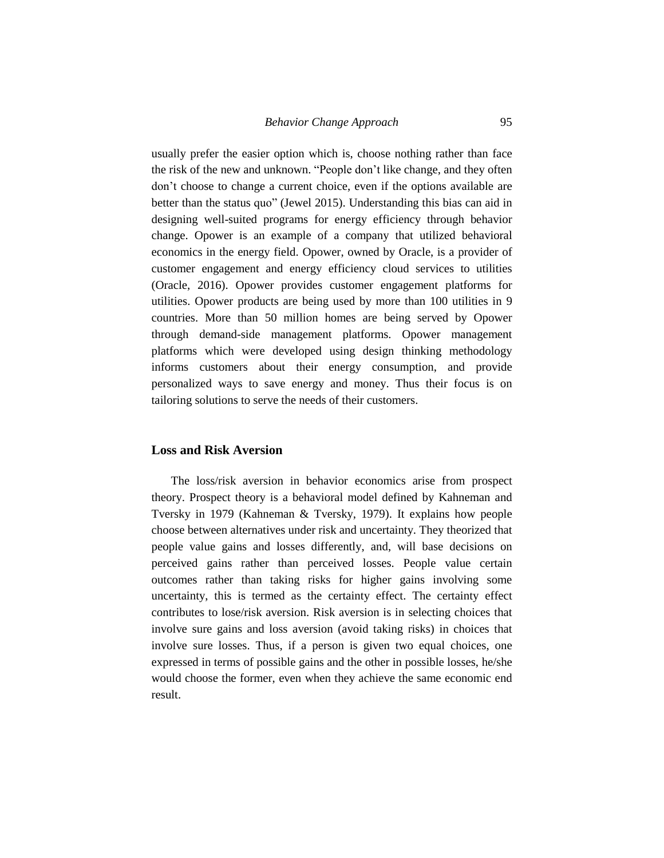usually prefer the easier option which is, choose nothing rather than face the risk of the new and unknown. "People don't like change, and they often don't choose to change a current choice, even if the options available are better than the status quo" (Jewel 2015). Understanding this bias can aid in designing well-suited programs for energy efficiency through behavior change. Opower is an example of a company that utilized behavioral economics in the energy field. Opower, owned by Oracle, is a provider of customer engagement and energy efficiency cloud services to utilities (Oracle, 2016). Opower provides customer engagement platforms for utilities. Opower products are being used by more than 100 utilities in 9 countries. More than 50 million homes are being served by Opower through demand-side management platforms. Opower management platforms which were developed using design thinking methodology informs customers about their energy consumption, and provide personalized ways to save energy and money. Thus their focus is on tailoring solutions to serve the needs of their customers.

#### **Loss and Risk Aversion**

The loss/risk aversion in behavior economics arise from prospect theory. Prospect theory is a behavioral model defined by Kahneman and Tversky in 1979 (Kahneman & Tversky, 1979). It explains how people choose between alternatives under risk and uncertainty. They theorized that people value gains and losses differently, and, will base decisions on perceived gains rather than perceived losses. People value certain outcomes rather than taking risks for higher gains involving some uncertainty, this is termed as the certainty effect. The certainty effect contributes to lose/risk aversion. Risk aversion is in selecting choices that involve sure gains and loss aversion (avoid taking risks) in choices that involve sure losses. Thus, if a person is given two equal choices, one expressed in terms of possible gains and the other in possible losses, he/she would choose the former, even when they achieve the same economic end result.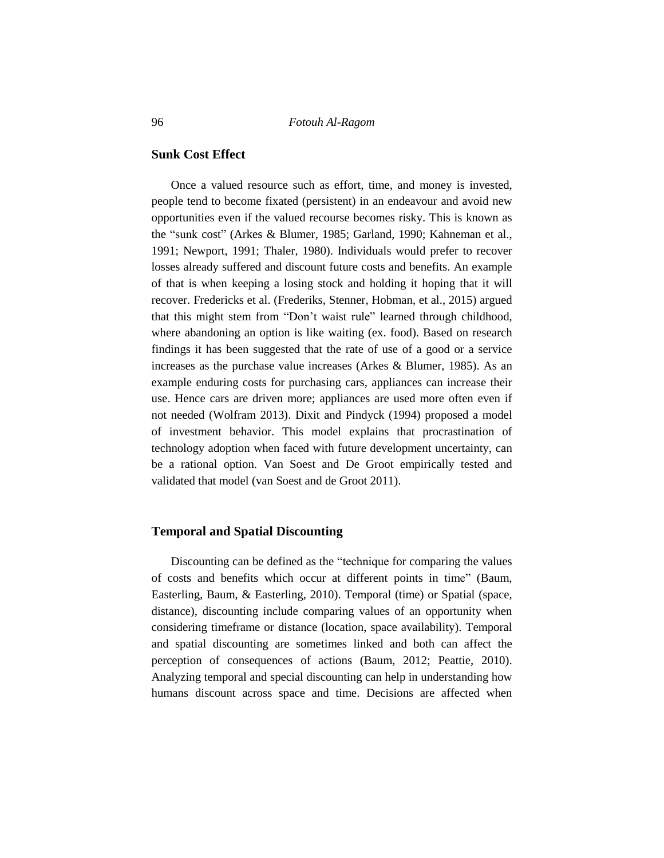# **Sunk Cost Effect**

Once a valued resource such as effort, time, and money is invested, people tend to become fixated (persistent) in an endeavour and avoid new opportunities even if the valued recourse becomes risky. This is known as the "sunk cost" (Arkes & Blumer, 1985; Garland, 1990; Kahneman et al., 1991; Newport, 1991; Thaler, 1980). Individuals would prefer to recover losses already suffered and discount future costs and benefits. An example of that is when keeping a losing stock and holding it hoping that it will recover. Fredericks et al. (Frederiks, Stenner, Hobman, et al., 2015) argued that this might stem from "Don't waist rule" learned through childhood, where abandoning an option is like waiting (ex. food). Based on research findings it has been suggested that the rate of use of a good or a service increases as the purchase value increases (Arkes & Blumer, 1985). As an example enduring costs for purchasing cars, appliances can increase their use. Hence cars are driven more; appliances are used more often even if not needed (Wolfram 2013). Dixit and Pindyck (1994) proposed a model of investment behavior. This model explains that procrastination of technology adoption when faced with future development uncertainty, can be a rational option. Van Soest and De Groot empirically tested and validated that model (van Soest and de Groot 2011).

### **Temporal and Spatial Discounting**

Discounting can be defined as the "technique for comparing the values of costs and benefits which occur at different points in time" (Baum, Easterling, Baum, & Easterling, 2010). Temporal (time) or Spatial (space, distance), discounting include comparing values of an opportunity when considering timeframe or distance (location, space availability). Temporal and spatial discounting are sometimes linked and both can affect the perception of consequences of actions (Baum, 2012; Peattie, 2010). Analyzing temporal and special discounting can help in understanding how humans discount across space and time. Decisions are affected when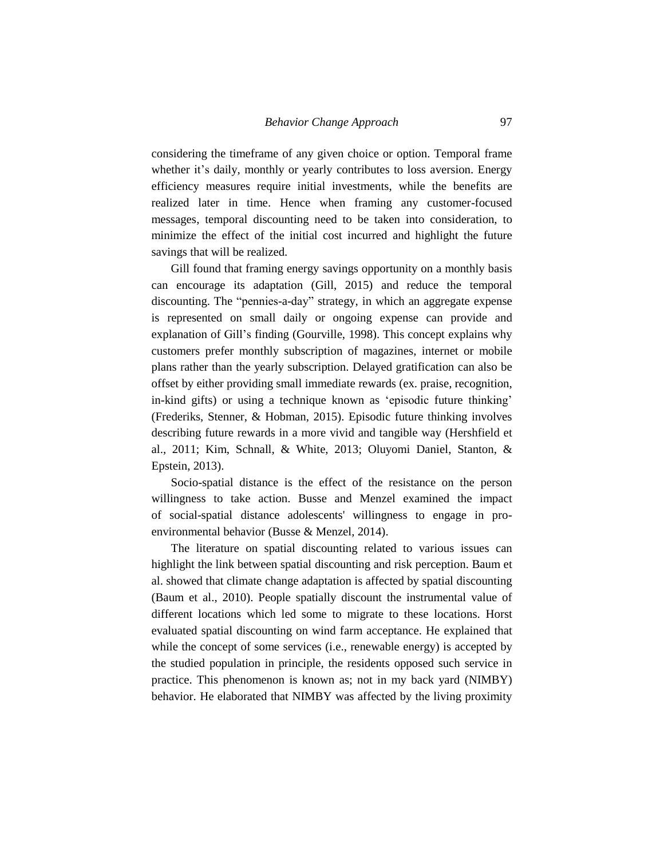considering the timeframe of any given choice or option. Temporal frame whether it's daily, monthly or yearly contributes to loss aversion. Energy efficiency measures require initial investments, while the benefits are realized later in time. Hence when framing any customer-focused messages, temporal discounting need to be taken into consideration, to minimize the effect of the initial cost incurred and highlight the future savings that will be realized.

Gill found that framing energy savings opportunity on a monthly basis can encourage its adaptation (Gill, 2015) and reduce the temporal discounting. The "pennies-a-day" strategy, in which an aggregate expense is represented on small daily or ongoing expense can provide and explanation of Gill's finding (Gourville, 1998). This concept explains why customers prefer monthly subscription of magazines, internet or mobile plans rather than the yearly subscription. Delayed gratification can also be offset by either providing small immediate rewards (ex. praise, recognition, in-kind gifts) or using a technique known as 'episodic future thinking' (Frederiks, Stenner, & Hobman, 2015). Episodic future thinking involves describing future rewards in a more vivid and tangible way (Hershfield et al., 2011; Kim, Schnall, & White, 2013; Oluyomi Daniel, Stanton, & Epstein, 2013).

Socio-spatial distance is the effect of the resistance on the person willingness to take action. Busse and Menzel examined the impact of social-spatial distance adolescents' willingness to engage in proenvironmental behavior (Busse & Menzel, 2014).

The literature on spatial discounting related to various issues can highlight the link between spatial discounting and risk perception. Baum et al. showed that climate change adaptation is affected by spatial discounting (Baum et al., 2010). People spatially discount the instrumental value of different locations which led some to migrate to these locations. Horst evaluated spatial discounting on wind farm acceptance. He explained that while the concept of some services (i.e., renewable energy) is accepted by the studied population in principle, the residents opposed such service in practice. This phenomenon is known as; not in my back yard (NIMBY) behavior. He elaborated that NIMBY was affected by the living proximity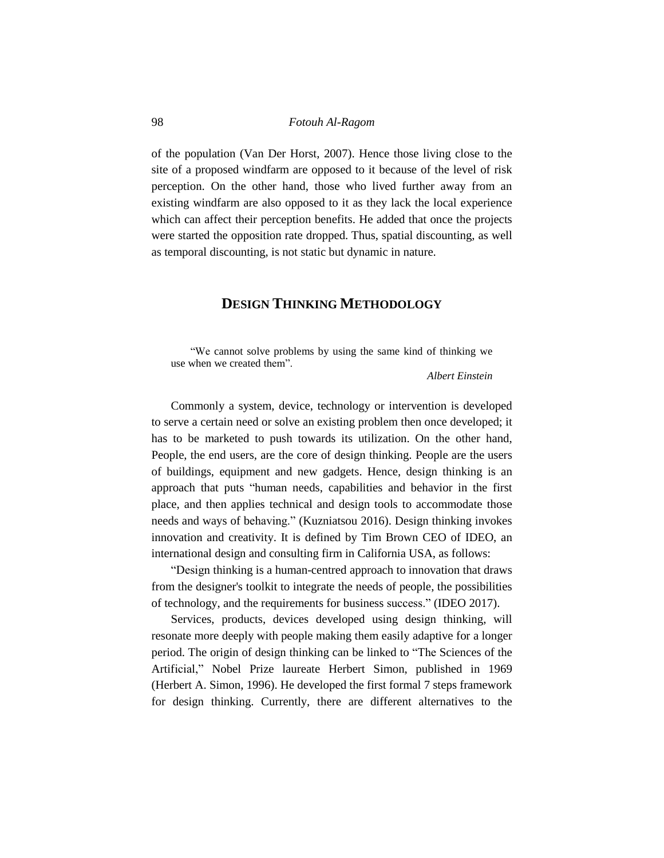of the population (Van Der Horst, 2007). Hence those living close to the site of a proposed windfarm are opposed to it because of the level of risk perception. On the other hand, those who lived further away from an existing windfarm are also opposed to it as they lack the local experience which can affect their perception benefits. He added that once the projects were started the opposition rate dropped. Thus, spatial discounting, as well as temporal discounting, is not static but dynamic in nature.

# **DESIGN THINKING METHODOLOGY**

"We cannot solve problems by using the same kind of thinking we use when we created them".

*Albert Einstein*

Commonly a system, device, technology or intervention is developed to serve a certain need or solve an existing problem then once developed; it has to be marketed to push towards its utilization. On the other hand, People, the end users, are the core of design thinking. People are the users of buildings, equipment and new gadgets. Hence, design thinking is an approach that puts "human needs, capabilities and behavior in the first place, and then applies technical and design tools to accommodate those needs and ways of behaving." (Kuzniatsou 2016). Design thinking invokes innovation and creativity. It is defined by Tim Brown CEO of IDEO, an international design and consulting firm in California USA, as follows:

"Design thinking is a human-centred approach to innovation that draws from the designer's toolkit to integrate the needs of people, the possibilities of technology, and the requirements for business success." (IDEO 2017).

Services, products, devices developed using design thinking, will resonate more deeply with people making them easily adaptive for a longer period. The origin of design thinking can be linked to "The Sciences of the Artificial," Nobel Prize laureate Herbert Simon, published in 1969 (Herbert A. Simon, 1996). He developed the first formal 7 steps framework for design thinking. Currently, there are different alternatives to the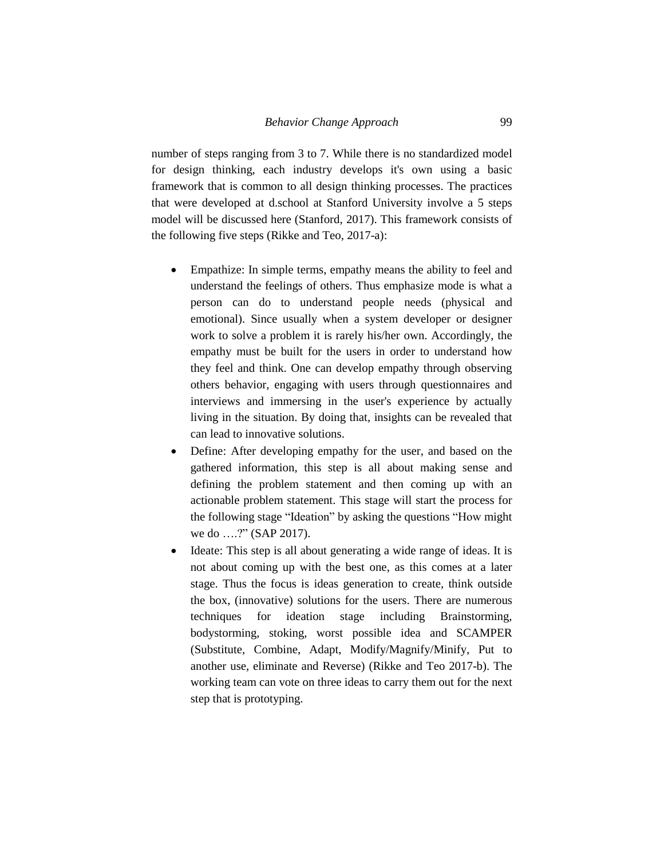number of steps ranging from 3 to 7. While there is no standardized model for design thinking, each industry develops it's own using a basic framework that is common to all design thinking processes. The practices that were developed at d.school at Stanford University involve a 5 steps model will be discussed here (Stanford, 2017). This framework consists of the following five steps (Rikke and Teo, 2017-a):

- Empathize: In simple terms, empathy means the ability to feel and understand the feelings of others. Thus emphasize mode is what a person can do to understand people needs (physical and emotional). Since usually when a system developer or designer work to solve a problem it is rarely his/her own. Accordingly, the empathy must be built for the users in order to understand how they feel and think. One can develop empathy through observing others behavior, engaging with users through questionnaires and interviews and immersing in the user's experience by actually living in the situation. By doing that, insights can be revealed that can lead to innovative solutions.
- Define: After developing empathy for the user, and based on the gathered information, this step is all about making sense and defining the problem statement and then coming up with an actionable problem statement. This stage will start the process for the following stage "Ideation" by asking the questions "How might we do ….?" (SAP 2017).
- Ideate: This step is all about generating a wide range of ideas. It is not about coming up with the best one, as this comes at a later stage. Thus the focus is ideas generation to create, think outside the box, (innovative) solutions for the users. There are numerous techniques for ideation stage including Brainstorming, bodystorming, stoking, worst possible idea and SCAMPER (Substitute, Combine, Adapt, Modify/Magnify/Minify, Put to another use, eliminate and Reverse) (Rikke and Teo 2017-b). The working team can vote on three ideas to carry them out for the next step that is prototyping.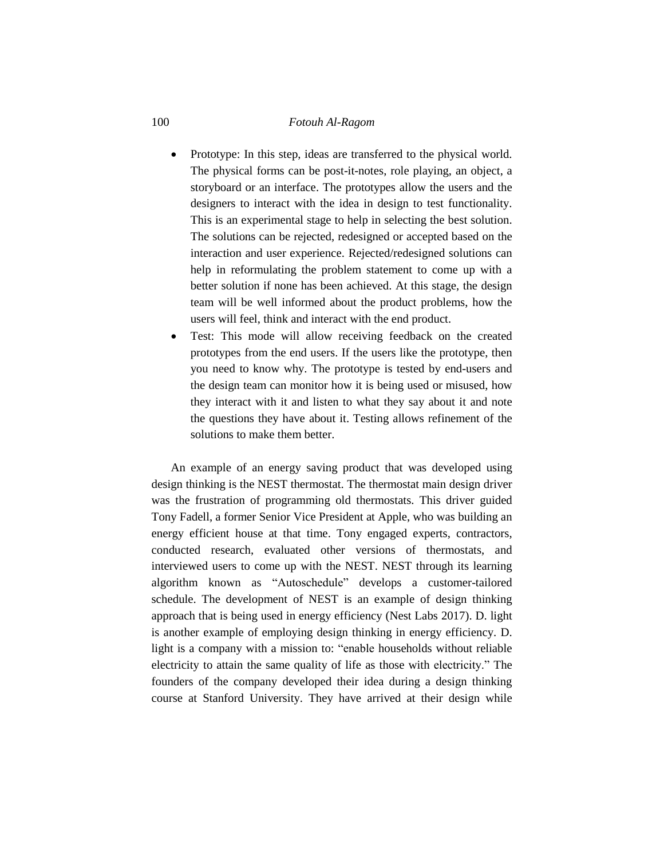- Prototype: In this step, ideas are transferred to the physical world. The physical forms can be post-it-notes, role playing, an object, a storyboard or an interface. The prototypes allow the users and the designers to interact with the idea in design to test functionality. This is an experimental stage to help in selecting the best solution. The solutions can be rejected, redesigned or accepted based on the interaction and user experience. Rejected/redesigned solutions can help in reformulating the problem statement to come up with a better solution if none has been achieved. At this stage, the design team will be well informed about the product problems, how the users will feel, think and interact with the end product.
- Test: This mode will allow receiving feedback on the created prototypes from the end users. If the users like the prototype, then you need to know why. The prototype is tested by end-users and the design team can monitor how it is being used or misused, how they interact with it and listen to what they say about it and note the questions they have about it. Testing allows refinement of the solutions to make them better.

An example of an energy saving product that was developed using design thinking is the NEST thermostat. The thermostat main design driver was the frustration of programming old thermostats. This driver guided Tony Fadell, a former Senior Vice President at Apple, who was building an energy efficient house at that time. Tony engaged experts, contractors, conducted research, evaluated other versions of thermostats, and interviewed users to come up with the NEST. NEST through its learning algorithm known as "Autoschedule" develops a customer-tailored schedule. The development of NEST is an example of design thinking approach that is being used in energy efficiency (Nest Labs 2017). D. light is another example of employing design thinking in energy efficiency. D. light is a company with a mission to: "enable households without reliable electricity to attain the same quality of life as those with electricity." The founders of the company developed their idea during a design thinking course at Stanford University. They have arrived at their design while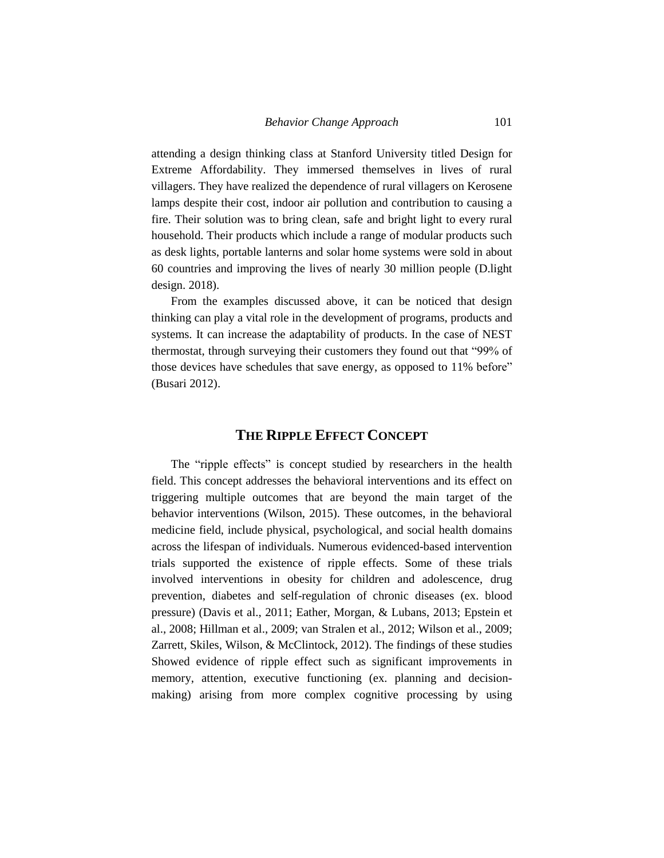attending a design thinking class at Stanford University titled Design for Extreme Affordability. They immersed themselves in lives of rural villagers. They have realized the dependence of rural villagers on Kerosene lamps despite their cost, indoor air pollution and contribution to causing a fire. Their solution was to bring clean, safe and bright light to every rural household. Their products which include a range of modular products such as desk lights, portable lanterns and solar home systems were sold in about 60 countries and improving the lives of nearly 30 million people (D.light design. 2018).

From the examples discussed above, it can be noticed that design thinking can play a vital role in the development of programs, products and systems. It can increase the adaptability of products. In the case of NEST thermostat, through surveying their customers they found out that "99% of those devices have schedules that save energy, as opposed to 11% before" (Busari 2012).

# **THE RIPPLE EFFECT CONCEPT**

The "ripple effects" is concept studied by researchers in the health field. This concept addresses the behavioral interventions and its effect on triggering multiple outcomes that are beyond the main target of the behavior interventions (Wilson, 2015). These outcomes, in the behavioral medicine field, include physical, psychological, and social health domains across the lifespan of individuals. Numerous evidenced-based intervention trials supported the existence of ripple effects. Some of these trials involved interventions in obesity for children and adolescence, drug prevention, diabetes and self-regulation of chronic diseases (ex. blood pressure) (Davis et al., 2011; Eather, Morgan, & Lubans, 2013; Epstein et al., 2008; Hillman et al., 2009; van Stralen et al., 2012; Wilson et al., 2009; Zarrett, Skiles, Wilson, & McClintock, 2012). The findings of these studies Showed evidence of ripple effect such as significant improvements in memory, attention, executive functioning (ex. planning and decisionmaking) arising from more complex cognitive processing by using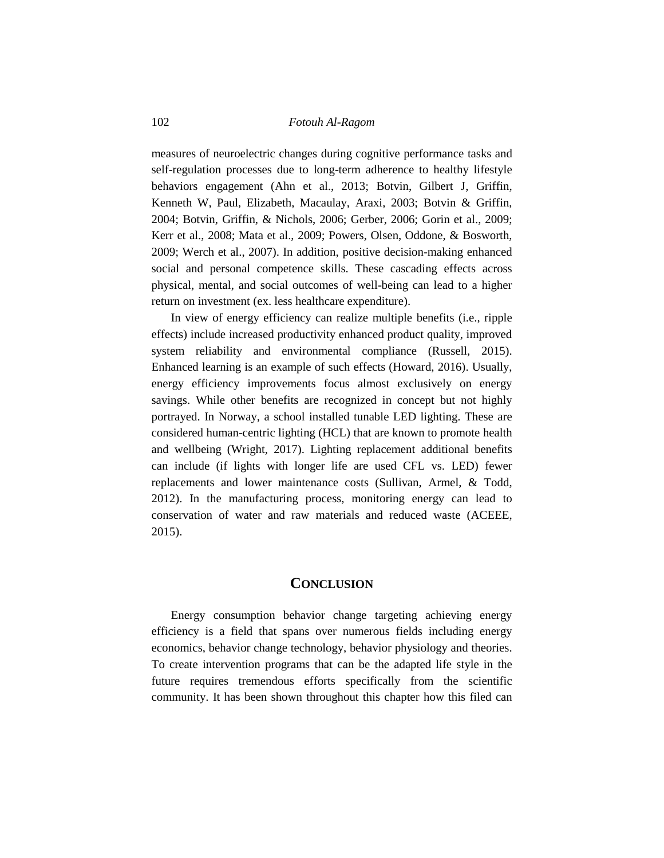measures of neuroelectric changes during cognitive performance tasks and self-regulation processes due to long-term adherence to healthy lifestyle behaviors engagement (Ahn et al., 2013; Botvin, Gilbert J, Griffin, Kenneth W, Paul, Elizabeth, Macaulay, Araxi, 2003; Botvin & Griffin, 2004; Botvin, Griffin, & Nichols, 2006; Gerber, 2006; Gorin et al., 2009; Kerr et al., 2008; Mata et al., 2009; Powers, Olsen, Oddone, & Bosworth, 2009; Werch et al., 2007). In addition, positive decision-making enhanced social and personal competence skills. These cascading effects across physical, mental, and social outcomes of well-being can lead to a higher return on investment (ex. less healthcare expenditure).

In view of energy efficiency can realize multiple benefits (i.e., ripple effects) include increased productivity enhanced product quality, improved system reliability and environmental compliance (Russell, 2015). Enhanced learning is an example of such effects (Howard, 2016). Usually, energy efficiency improvements focus almost exclusively on energy savings. While other benefits are recognized in concept but not highly portrayed. In Norway, a school installed tunable LED lighting. These are considered human-centric lighting (HCL) that are known to promote health and wellbeing (Wright, 2017). Lighting replacement additional benefits can include (if lights with longer life are used CFL vs. LED) fewer replacements and lower maintenance costs (Sullivan, Armel, & Todd, 2012). In the manufacturing process, monitoring energy can lead to conservation of water and raw materials and reduced waste (ACEEE, 2015).

### **CONCLUSION**

Energy consumption behavior change targeting achieving energy efficiency is a field that spans over numerous fields including energy economics, behavior change technology, behavior physiology and theories. To create intervention programs that can be the adapted life style in the future requires tremendous efforts specifically from the scientific community. It has been shown throughout this chapter how this filed can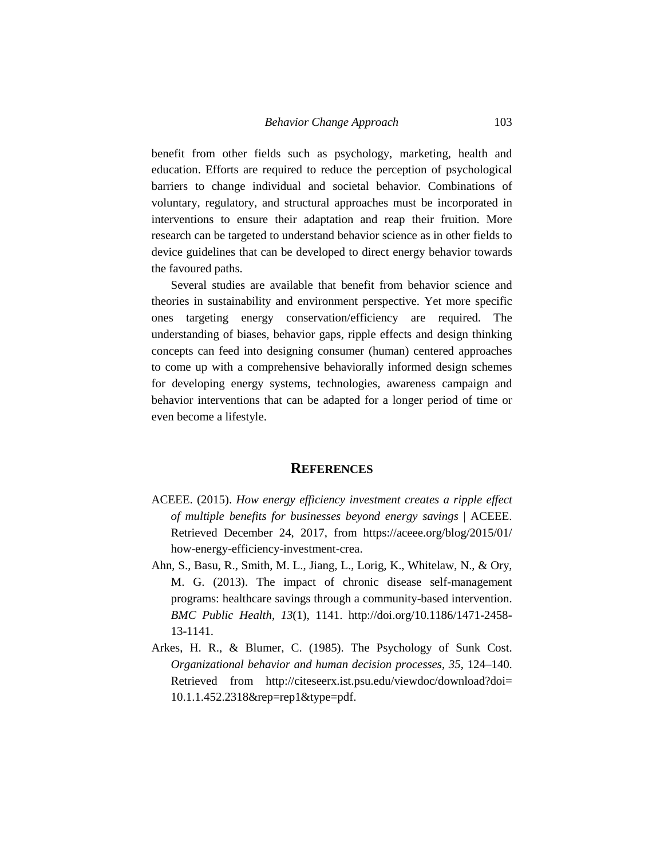benefit from other fields such as psychology, marketing, health and education. Efforts are required to reduce the perception of psychological barriers to change individual and societal behavior. Combinations of voluntary, regulatory, and structural approaches must be incorporated in interventions to ensure their adaptation and reap their fruition. More research can be targeted to understand behavior science as in other fields to device guidelines that can be developed to direct energy behavior towards the favoured paths.

Several studies are available that benefit from behavior science and theories in sustainability and environment perspective. Yet more specific ones targeting energy conservation/efficiency are required. The understanding of biases, behavior gaps, ripple effects and design thinking concepts can feed into designing consumer (human) centered approaches to come up with a comprehensive behaviorally informed design schemes for developing energy systems, technologies, awareness campaign and behavior interventions that can be adapted for a longer period of time or even become a lifestyle.

#### **REFERENCES**

- ACEEE. (2015). *How energy efficiency investment creates a ripple effect of multiple benefits for businesses beyond energy savings* | ACEEE. Retrieved December 24, 2017, from https://aceee.org/blog/2015/01/ how-energy-efficiency-investment-crea.
- Ahn, S., Basu, R., Smith, M. L., Jiang, L., Lorig, K., Whitelaw, N., & Ory, M. G. (2013). The impact of chronic disease self-management programs: healthcare savings through a community-based intervention. *BMC Public Health*, *13*(1), 1141. http://doi.org/10.1186/1471-2458- 13-1141.
- Arkes, H. R., & Blumer, C. (1985). The Psychology of Sunk Cost. *Organizational behavior and human decision processes*, *35*, 124–140. Retrieved from http://citeseerx.ist.psu.edu/viewdoc/download?doi= 10.1.1.452.2318&rep=rep1&type=pdf.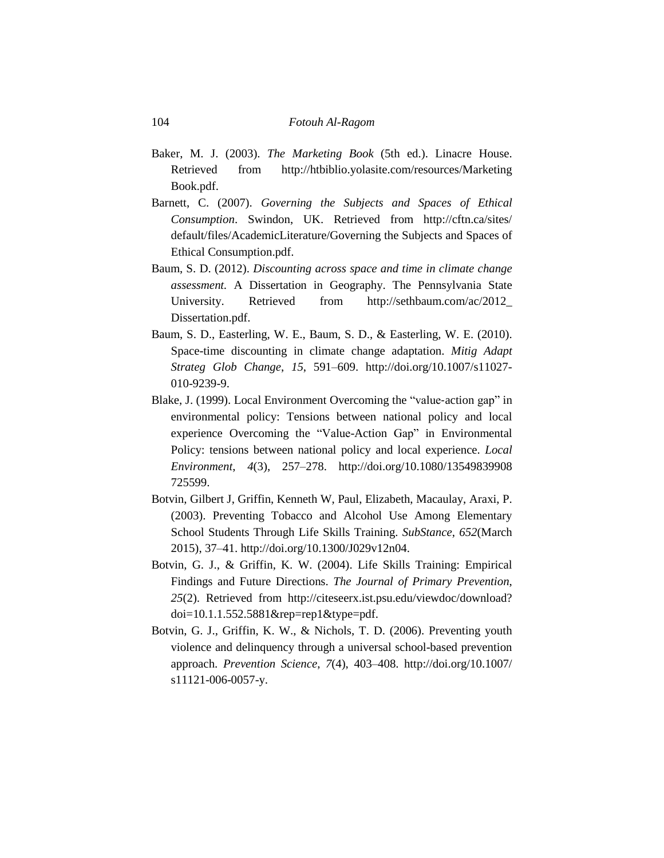- Baker, M. J. (2003). *The Marketing Book* (5th ed.). Linacre House. Retrieved from http://htbiblio.yolasite.com/resources/Marketing Book.pdf.
- Barnett, C. (2007). *Governing the Subjects and Spaces of Ethical Consumption*. Swindon, UK. Retrieved from http://cftn.ca/sites/ default/files/AcademicLiterature/Governing the Subjects and Spaces of Ethical Consumption.pdf.
- Baum, S. D. (2012). *Discounting across space and time in climate change assessment.* A Dissertation in Geography. The Pennsylvania State University. Retrieved from http://sethbaum.com/ac/2012 Dissertation.pdf.
- Baum, S. D., Easterling, W. E., Baum, S. D., & Easterling, W. E. (2010). Space-time discounting in climate change adaptation. *Mitig Adapt Strateg Glob Change*, *15*, 591–609. http://doi.org/10.1007/s11027- 010-9239-9.
- Blake, J. (1999). Local Environment Overcoming the "value‐action gap" in environmental policy: Tensions between national policy and local experience Overcoming the "Value-Action Gap" in Environmental Policy: tensions between national policy and local experience. *Local Environment*, *4*(3), 257–278. http://doi.org/10.1080/13549839908 725599.
- Botvin, Gilbert J, Griffin, Kenneth W, Paul, Elizabeth, Macaulay, Araxi, P. (2003). Preventing Tobacco and Alcohol Use Among Elementary School Students Through Life Skills Training. *SubStance*, *652*(March 2015), 37–41. http://doi.org/10.1300/J029v12n04.
- Botvin, G. J., & Griffin, K. W. (2004). Life Skills Training: Empirical Findings and Future Directions. *The Journal of Primary Prevention*, *25*(2). Retrieved from http://citeseerx.ist.psu.edu/viewdoc/download? doi=10.1.1.552.5881&rep=rep1&type=pdf.
- Botvin, G. J., Griffin, K. W., & Nichols, T. D. (2006). Preventing youth violence and delinquency through a universal school-based prevention approach. *Prevention Science*, *7*(4), 403–408. http://doi.org/10.1007/ s11121-006-0057-y.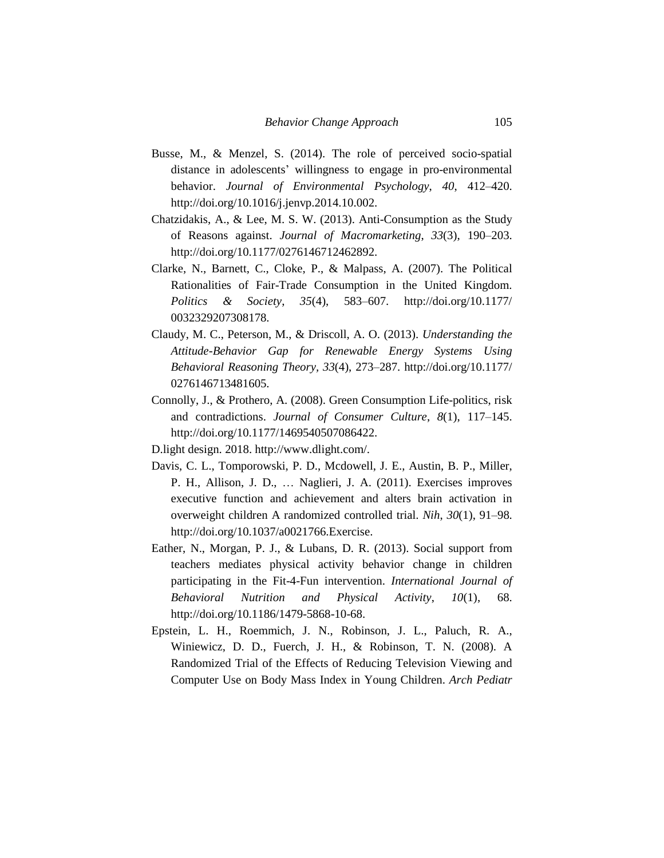- Busse, M., & Menzel, S. (2014). The role of perceived socio-spatial distance in adolescents' willingness to engage in pro-environmental behavior. *Journal of Environmental Psychology*, *40*, 412–420. http://doi.org/10.1016/j.jenvp.2014.10.002.
- Chatzidakis, A., & Lee, M. S. W. (2013). Anti-Consumption as the Study of Reasons against. *Journal of Macromarketing*, *33*(3), 190–203. http://doi.org/10.1177/0276146712462892.
- Clarke, N., Barnett, C., Cloke, P., & Malpass, A. (2007). The Political Rationalities of Fair-Trade Consumption in the United Kingdom. *Politics & Society*, *35*(4), 583–607. http://doi.org/10.1177/ 0032329207308178.
- Claudy, M. C., Peterson, M., & Driscoll, A. O. (2013). *Understanding the Attitude-Behavior Gap for Renewable Energy Systems Using Behavioral Reasoning Theory, 33*(4), 273–287. http://doi.org/10.1177/ 0276146713481605.
- Connolly, J., & Prothero, A. (2008). Green Consumption Life-politics, risk and contradictions. *Journal of Consumer Culture*, *8*(1), 117–145. http://doi.org/10.1177/1469540507086422.
- D.light design. 2018. http://www.dlight.com/.
- Davis, C. L., Tomporowski, P. D., Mcdowell, J. E., Austin, B. P., Miller, P. H., Allison, J. D., … Naglieri, J. A. (2011). Exercises improves executive function and achievement and alters brain activation in overweight children A randomized controlled trial. *Nih*, *30*(1), 91–98. http://doi.org/10.1037/a0021766.Exercise.
- Eather, N., Morgan, P. J., & Lubans, D. R. (2013). Social support from teachers mediates physical activity behavior change in children participating in the Fit-4-Fun intervention. *International Journal of Behavioral Nutrition and Physical Activity*, *10*(1), 68. http://doi.org/10.1186/1479-5868-10-68.
- Epstein, L. H., Roemmich, J. N., Robinson, J. L., Paluch, R. A., Winiewicz, D. D., Fuerch, J. H., & Robinson, T. N. (2008). A Randomized Trial of the Effects of Reducing Television Viewing and Computer Use on Body Mass Index in Young Children. *Arch Pediatr*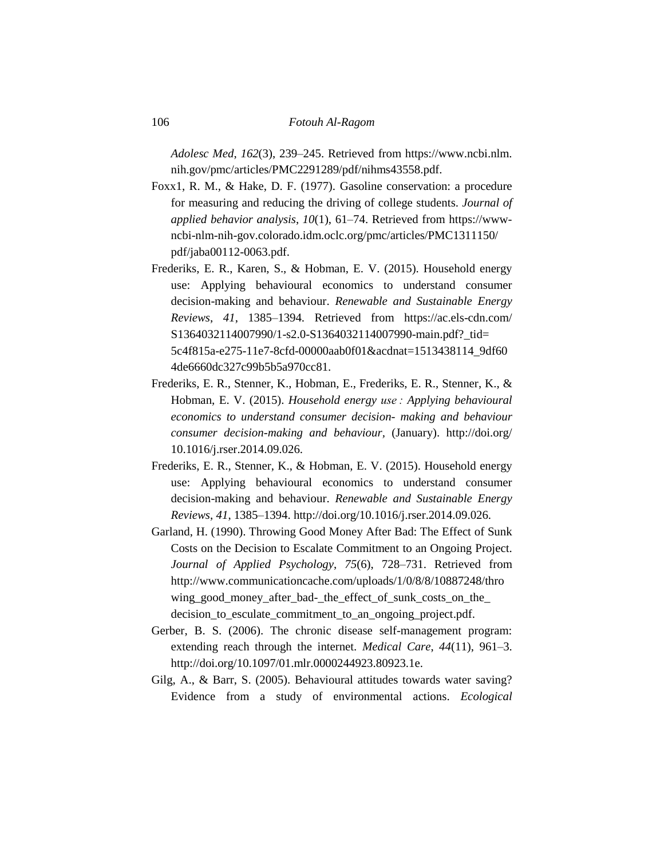*Adolesc Med*, *162*(3), 239–245. Retrieved from https://www.ncbi.nlm. nih.gov/pmc/articles/PMC2291289/pdf/nihms43558.pdf.

- Foxx1, R. M., & Hake, D. F. (1977). Gasoline conservation: a procedure for measuring and reducing the driving of college students. *Journal of applied behavior analysis*, *10*(1), 61–74. Retrieved from https://wwwncbi-nlm-nih-gov.colorado.idm.oclc.org/pmc/articles/PMC1311150/ pdf/jaba00112-0063.pdf.
- Frederiks, E. R., Karen, S., & Hobman, E. V. (2015). Household energy use: Applying behavioural economics to understand consumer decision-making and behaviour. *Renewable and Sustainable Energy Reviews*, *41*, 1385–1394. Retrieved from https://ac.els-cdn.com/ S1364032114007990/1-s2.0-S1364032114007990-main.pdf?\_tid= 5c4f815a-e275-11e7-8cfd-00000aab0f01&acdnat=1513438114\_9df60 4de6660dc327c99b5b5a970cc81.
- Frederiks, E. R., Stenner, K., Hobman, E., Frederiks, E. R., Stenner, K., & Hobman, E. V. (2015). *Household energy use : Applying behavioural economics to understand consumer decision- making and behaviour consumer decision-making and behaviour,* (January). http://doi.org/ 10.1016/j.rser.2014.09.026.
- Frederiks, E. R., Stenner, K., & Hobman, E. V. (2015). Household energy use: Applying behavioural economics to understand consumer decision-making and behaviour. *Renewable and Sustainable Energy Reviews*, *41*, 1385–1394. http://doi.org/10.1016/j.rser.2014.09.026.
- Garland, H. (1990). Throwing Good Money After Bad: The Effect of Sunk Costs on the Decision to Escalate Commitment to an Ongoing Project. *Journal of Applied Psychology*, *75*(6), 728–731. Retrieved from http://www.communicationcache.com/uploads/1/0/8/8/10887248/thro wing\_good\_money\_after\_bad-\_the\_effect\_of\_sunk\_costs\_on\_the\_ decision\_to\_esculate\_commitment\_to\_an\_ongoing\_project.pdf.
- Gerber, B. S. (2006). The chronic disease self-management program: extending reach through the internet. *Medical Care*, *44*(11), 961–3. http://doi.org/10.1097/01.mlr.0000244923.80923.1e.
- Gilg, A., & Barr, S. (2005). Behavioural attitudes towards water saving? Evidence from a study of environmental actions. *Ecological*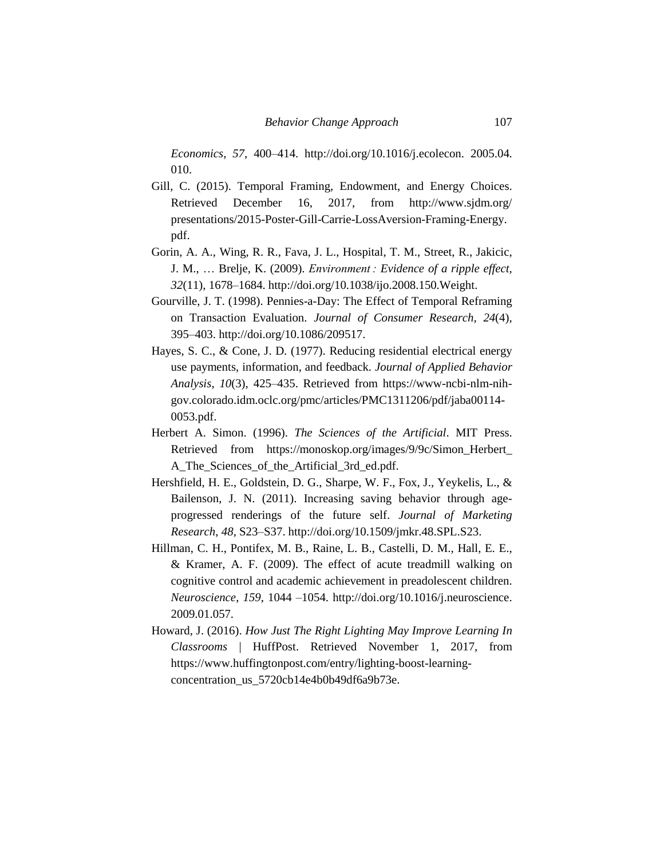*Economics*, *57*, 400–414. http://doi.org/10.1016/j.ecolecon. 2005.04. 010.

- Gill, C. (2015). Temporal Framing, Endowment, and Energy Choices. Retrieved December 16, 2017, from http://www.sjdm.org/ presentations/2015-Poster-Gill-Carrie-LossAversion-Framing-Energy. pdf.
- Gorin, A. A., Wing, R. R., Fava, J. L., Hospital, T. M., Street, R., Jakicic, J. M., … Brelje, K. (2009). *Environment : Evidence of a ripple effect, 32*(11), 1678–1684. http://doi.org/10.1038/ijo.2008.150.Weight.
- Gourville, J. T. (1998). Pennies-a-Day: The Effect of Temporal Reframing on Transaction Evaluation. *Journal of Consumer Research*, *24*(4), 395–403. http://doi.org/10.1086/209517.
- Hayes, S. C., & Cone, J. D. (1977). Reducing residential electrical energy use payments, information, and feedback. *Journal of Applied Behavior Analysis*, *10*(3), 425–435. Retrieved from https://www-ncbi-nlm-nihgov.colorado.idm.oclc.org/pmc/articles/PMC1311206/pdf/jaba00114- 0053.pdf.
- Herbert A. Simon. (1996). *The Sciences of the Artificial*. MIT Press. Retrieved from https://monoskop.org/images/9/9c/Simon Herbert A The Sciences of the Artificial 3rd ed.pdf.
- Hershfield, H. E., Goldstein, D. G., Sharpe, W. F., Fox, J., Yeykelis, L., & Bailenson, J. N. (2011). Increasing saving behavior through ageprogressed renderings of the future self. *Journal of Marketing Research*, *48*, S23–S37. http://doi.org/10.1509/jmkr.48.SPL.S23.
- Hillman, C. H., Pontifex, M. B., Raine, L. B., Castelli, D. M., Hall, E. E., & Kramer, A. F. (2009). The effect of acute treadmill walking on cognitive control and academic achievement in preadolescent children. *Neuroscience*, *159*, 1044 –1054. http://doi.org/10.1016/j.neuroscience. 2009.01.057.
- Howard, J. (2016). *How Just The Right Lighting May Improve Learning In Classrooms* | HuffPost. Retrieved November 1, 2017, from https://www.huffingtonpost.com/entry/lighting-boost-learningconcentration\_us\_5720cb14e4b0b49df6a9b73e.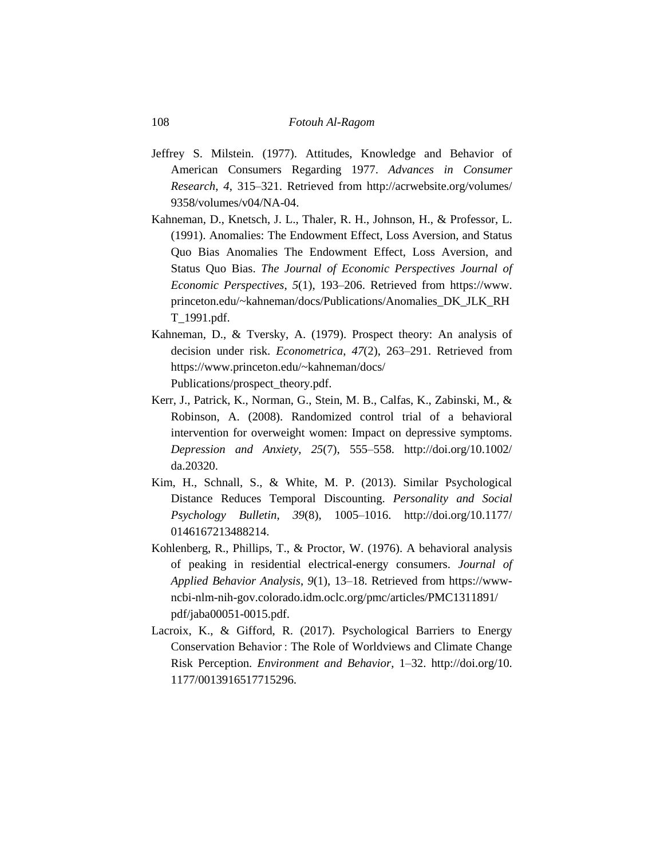- Jeffrey S. Milstein. (1977). Attitudes, Knowledge and Behavior of American Consumers Regarding 1977. *Advances in Consumer Research*, *4*, 315–321. Retrieved from http://acrwebsite.org/volumes/ 9358/volumes/v04/NA-04.
- Kahneman, D., Knetsch, J. L., Thaler, R. H., Johnson, H., & Professor, L. (1991). Anomalies: The Endowment Effect, Loss Aversion, and Status Quo Bias Anomalies The Endowment Effect, Loss Aversion, and Status Quo Bias. *The Journal of Economic Perspectives Journal of Economic Perspectives*, *5*(1), 193–206. Retrieved from https://www. princeton.edu/~kahneman/docs/Publications/Anomalies\_DK\_JLK\_RH T\_1991.pdf.
- Kahneman, D., & Tversky, A. (1979). Prospect theory: An analysis of decision under risk. *Econometrica*, *47*(2), 263–291. Retrieved from https://www.princeton.edu/~kahneman/docs/ Publications/prospect\_theory.pdf.
- Kerr, J., Patrick, K., Norman, G., Stein, M. B., Calfas, K., Zabinski, M., & Robinson, A. (2008). Randomized control trial of a behavioral intervention for overweight women: Impact on depressive symptoms. *Depression and Anxiety*, *25*(7), 555–558. http://doi.org/10.1002/ da.20320.
- Kim, H., Schnall, S., & White, M. P. (2013). Similar Psychological Distance Reduces Temporal Discounting. *Personality and Social Psychology Bulletin*, *39*(8), 1005–1016. http://doi.org/10.1177/ 0146167213488214.
- Kohlenberg, R., Phillips, T., & Proctor, W. (1976). A behavioral analysis of peaking in residential electrical-energy consumers. *Journal of Applied Behavior Analysis*, *9*(1), 13–18. Retrieved from https://wwwncbi-nlm-nih-gov.colorado.idm.oclc.org/pmc/articles/PMC1311891/ pdf/jaba00051-0015.pdf.
- Lacroix, K., & Gifford, R. (2017). Psychological Barriers to Energy Conservation Behavior : The Role of Worldviews and Climate Change Risk Perception. *Environment and Behavior*, 1–32. http://doi.org/10. 1177/0013916517715296.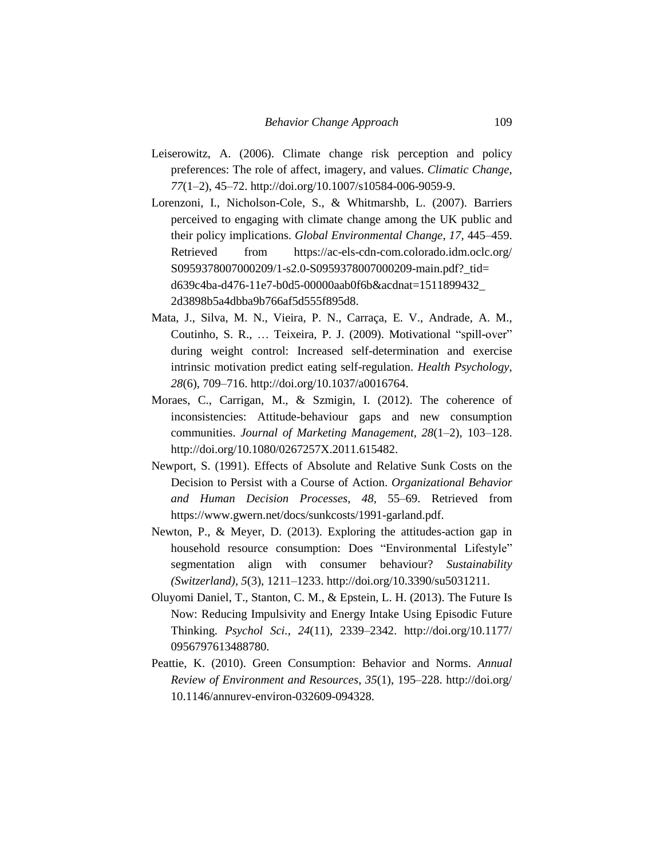- Leiserowitz, A. (2006). Climate change risk perception and policy preferences: The role of affect, imagery, and values. *Climatic Change*, *77*(1–2), 45–72. http://doi.org/10.1007/s10584-006-9059-9.
- Lorenzoni, I., Nicholson-Cole, S., & Whitmarshb, L. (2007). Barriers perceived to engaging with climate change among the UK public and their policy implications. *Global Environmental Change*, *17*, 445–459. Retrieved from https://ac-els-cdn-com.colorado.idm.oclc.org/ S0959378007000209/1-s2.0-S0959378007000209-main.pdf?\_tid= d639c4ba-d476-11e7-b0d5-00000aab0f6b&acdnat=1511899432\_ 2d3898b5a4dbba9b766af5d555f895d8.
- Mata, J., Silva, M. N., Vieira, P. N., Carraça, E. V., Andrade, A. M., Coutinho, S. R., … Teixeira, P. J. (2009). Motivational "spill-over" during weight control: Increased self-determination and exercise intrinsic motivation predict eating self-regulation. *Health Psychology*, *28*(6), 709–716. http://doi.org/10.1037/a0016764.
- Moraes, C., Carrigan, M., & Szmigin, I. (2012). The coherence of inconsistencies: Attitude-behaviour gaps and new consumption communities. *Journal of Marketing Management*, *28*(1–2), 103–128. http://doi.org/10.1080/0267257X.2011.615482.
- Newport, S. (1991). Effects of Absolute and Relative Sunk Costs on the Decision to Persist with a Course of Action. *Organizational Behavior and Human Decision Processes*, *48*, 55–69. Retrieved from https://www.gwern.net/docs/sunkcosts/1991-garland.pdf.
- Newton, P., & Meyer, D. (2013). Exploring the attitudes-action gap in household resource consumption: Does "Environmental Lifestyle" segmentation align with consumer behaviour? *Sustainability (Switzerland)*, *5*(3), 1211–1233. http://doi.org/10.3390/su5031211.
- Oluyomi Daniel, T., Stanton, C. M., & Epstein, L. H. (2013). The Future Is Now: Reducing Impulsivity and Energy Intake Using Episodic Future Thinking. *Psychol Sci.*, *24*(11), 2339–2342. http://doi.org/10.1177/ 0956797613488780.
- Peattie, K. (2010). Green Consumption: Behavior and Norms. *Annual Review of Environment and Resources*, *35*(1), 195–228. http://doi.org/ 10.1146/annurev-environ-032609-094328.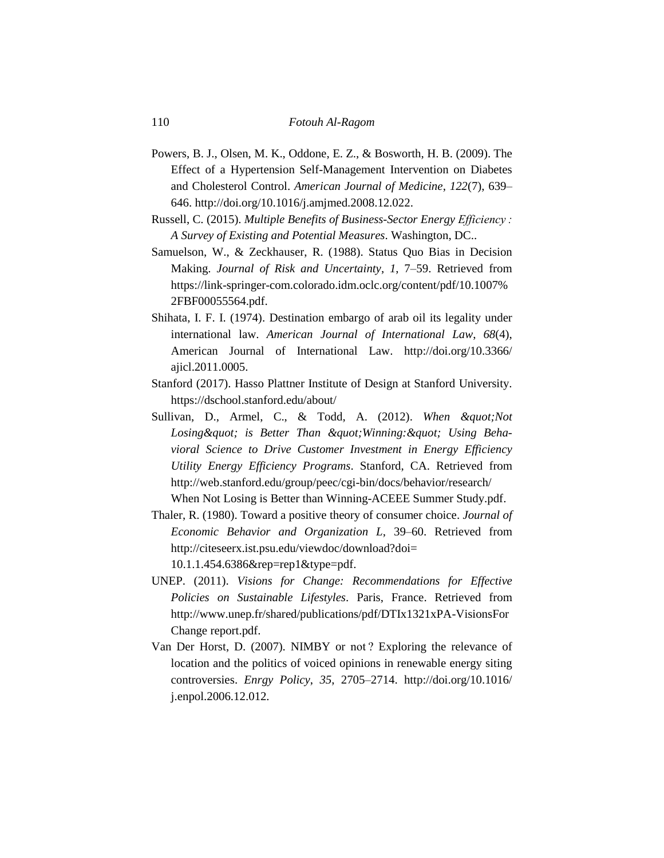- Powers, B. J., Olsen, M. K., Oddone, E. Z., & Bosworth, H. B. (2009). The Effect of a Hypertension Self-Management Intervention on Diabetes and Cholesterol Control. *American Journal of Medicine*, *122*(7), 639– 646. http://doi.org/10.1016/j.amjmed.2008.12.022.
- Russell, C. (2015). *Multiple Benefits of Business-Sector Energy Efficiency : A Survey of Existing and Potential Measures*. Washington, DC..
- Samuelson, W., & Zeckhauser, R. (1988). Status Quo Bias in Decision Making. *Journal of Risk and Uncertainty*, *1*, 7–59. Retrieved from https://link-springer-com.colorado.idm.oclc.org/content/pdf/10.1007% 2FBF00055564.pdf.
- Shihata, I. F. I. (1974). Destination embargo of arab oil its legality under international law. *American Journal of International Law*, *68*(4), American Journal of International Law. http://doi.org/10.3366/ ajicl.2011.0005.
- Stanford (2017). Hasso Plattner Institute of Design at Stanford University. https://dschool.stanford.edu/about/
- Sullivan, D., Armel, C., & Todd, A. (2012). *When &quot*; *Not* Losing" is Better Than " Winning: " Using Beha*vioral Science to Drive Customer Investment in Energy Efficiency Utility Energy Efficiency Programs*. Stanford, CA. Retrieved from http://web.stanford.edu/group/peec/cgi-bin/docs/behavior/research/ When Not Losing is Better than Winning-ACEEE Summer Study.pdf.
- Thaler, R. (1980). Toward a positive theory of consumer choice. *Journal of Economic Behavior and Organization L*, 39–60. Retrieved from http://citeseerx.ist.psu.edu/viewdoc/download?doi=
	- 10.1.1.454.6386&rep=rep1&type=pdf.
- UNEP. (2011). *Visions for Change: Recommendations for Effective Policies on Sustainable Lifestyles*. Paris, France. Retrieved from http://www.unep.fr/shared/publications/pdf/DTIx1321xPA-VisionsFor Change report.pdf.
- Van Der Horst, D. (2007). NIMBY or not ? Exploring the relevance of location and the politics of voiced opinions in renewable energy siting controversies. *Enrgy Policy*, *35*, 2705–2714. http://doi.org/10.1016/ j.enpol.2006.12.012.